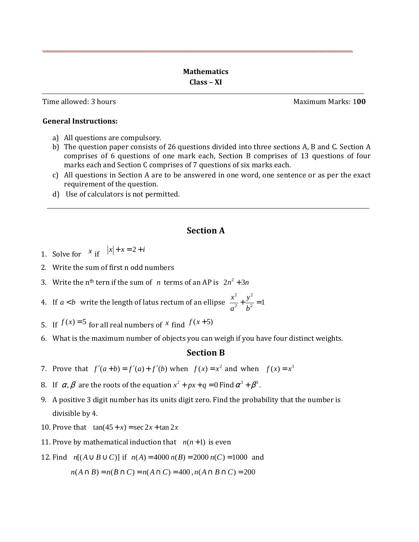Time allowed: 3 hours **Maximum Marks: 100** 

**General Instructions:**

- a) All questions are compulsory.
- b) The question paper consists of 26 questions divided into three sections A, B and C. Section A comprises of 6 questions of one mark each, Section B comprises of 13 questions of four marks each and Section C comprises of 7 questions of six marks each.
- c) All questions in Section A are to be answered in one word, one sentence or as per the exact requirement of the question.
- d) Use of calculators is not permitted.

## **Section A**

- 1. Solve for  $x$  if  $|x| + x = 2 + i$
- 2. Write the sum of first n odd numbers
- 3. Write the n<sup>th</sup> tern if the sum of *n* terms of an AP is  $2n^2 + 3n$
- 4. If *a* < *b* write the length of latus rectum of an ellipse 2  $\sqrt{2}$  $\frac{x^2}{a^2} + \frac{y^2}{b^2} = 1$ *a b*  $+\frac{y}{12}$  =
- 5. If  $f(x)=5$  for all real numbers of x find  $f(x+5)$
- 6. What is the maximum number of objects you can weigh if you have four distinct weights.

## **Section B**

- 7. Prove that  $f'(a+b) = f'(a) + f'(b)$  when  $f(x) = x^2$  and when  $f(x) = x^3$
- 8. If  $\alpha, \beta$  are the roots of the equation  $x^2 + px + q = 0$  Find  $\alpha^3 + \beta^3$ .
- 9. A positive 3 digit number has its units digit zero. Find the probability that the number is divisible by 4.
- 10. Prove that  $tan(45 + x) = sec 2x + tan 2x$
- 11. Prove by mathematical induction that  $n(n+1)$  is even
- 12. Find *n*[( $A$ ∪ $B$ ∪ $C$ )] if *n*( $A$ ) = 4000 *n*( $B$ ) = 2000 *n*( $C$ ) = 1000 and

$$
n(A \cap B) = n(B \cap C) = n(A \cap C) = 400, n(A \cap B \cap C) = 200
$$